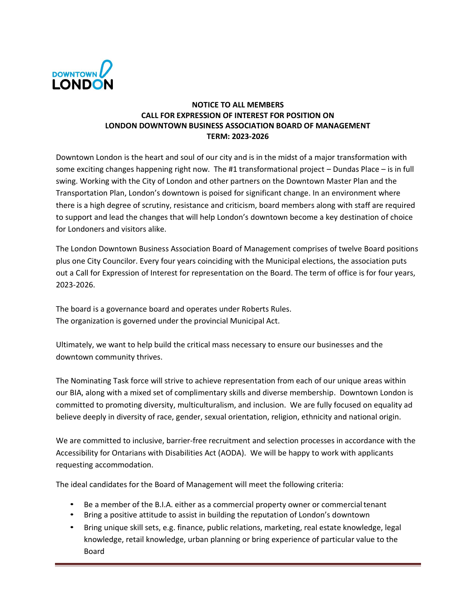

## **NOTICE TO ALL MEMBERS CALL FOR EXPRESSION OF INTEREST FOR POSITION ON LONDON DOWNTOWN BUSINESS ASSOCIATION BOARD OF MANAGEMENT TERM: 2023-2026**

Downtown London is the heart and soul of our city and is in the midst of a major transformation with some exciting changes happening right now. The #1 transformational project – Dundas Place – is in full swing. Working with the City of London and other partners on the Downtown Master Plan and the Transportation Plan, London's downtown is poised for significant change. In an environment where there is a high degree of scrutiny, resistance and criticism, board members along with staff are required to support and lead the changes that will help London's downtown become a key destination of choice for Londoners and visitors alike.

The London Downtown Business Association Board of Management comprises of twelve Board positions plus one City Councilor. Every four years coinciding with the Municipal elections, the association puts out a Call for Expression of Interest for representation on the Board. The term of office is for four years, 2023-2026.

The board is a governance board and operates under Roberts Rules. The organization is governed under the provincial Municipal Act.

Ultimately, we want to help build the critical mass necessary to ensure our businesses and the downtown community thrives.

The Nominating Task force will strive to achieve representation from each of our unique areas within our BIA, along with a mixed set of complimentary skills and diverse membership. Downtown London is committed to promoting diversity, multiculturalism, and inclusion. We are fully focused on equality ad believe deeply in diversity of race, gender, sexual orientation, religion, ethnicity and national origin.

We are committed to inclusive, barrier-free recruitment and selection processes in accordance with the Accessibility for Ontarians with Disabilities Act (AODA). We will be happy to work with applicants requesting accommodation.

The ideal candidates for the Board of Management will meet the following criteria:

- Be a member of the B.I.A. either as a commercial property owner or commercialtenant
- Bring a positive attitude to assist in building the reputation of London's downtown
- Bring unique skill sets, e.g. finance, public relations, marketing, real estate knowledge, legal knowledge, retail knowledge, urban planning or bring experience of particular value to the Board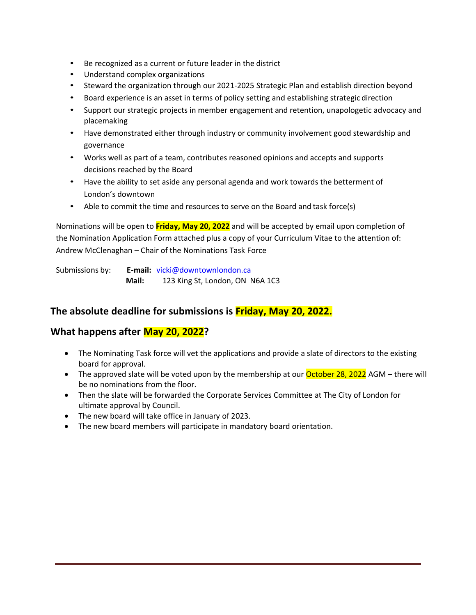- Be recognized as a current or future leader in the district
- Understand complex organizations
- Steward the organization through our 2021-2025 Strategic Plan and establish direction beyond
- Board experience is an asset in terms of policy setting and establishing strategic direction
- Support our strategic projects in member engagement and retention, unapologetic advocacy and placemaking
- Have demonstrated either through industry or community involvement good stewardship and governance
- Works well as part of a team, contributes reasoned opinions and accepts and supports decisions reached by the Board
- Have the ability to set aside any personal agenda and work towards the betterment of London's downtown
- Able to commit the time and resources to serve on the Board and task force(s)

Nominations will be open to **Friday, May 20, 2022** and will be accepted by email upon completion of the Nomination Application Form attached plus a copy of your Curriculum Vitae to the attention of: Andrew McClenaghan – Chair of the Nominations Task Force

Submissions by: **E‐mail:** vicki@downtownlondon.ca **Mail:** 123 King St, London, ON N6A 1C3

## **The absolute deadline for submissions is Friday, May 20, 2022.**

## **What happens after May 20, 2022?**

- The Nominating Task force will vet the applications and provide a slate of directors to the existing board for approval.
- The approved slate will be voted upon by the membership at our **October 28, 2022** AGM there will be no nominations from the floor.
- Then the slate will be forwarded the Corporate Services Committee at The City of London for ultimate approval by Council.
- The new board will take office in January of 2023.
- The new board members will participate in mandatory board orientation.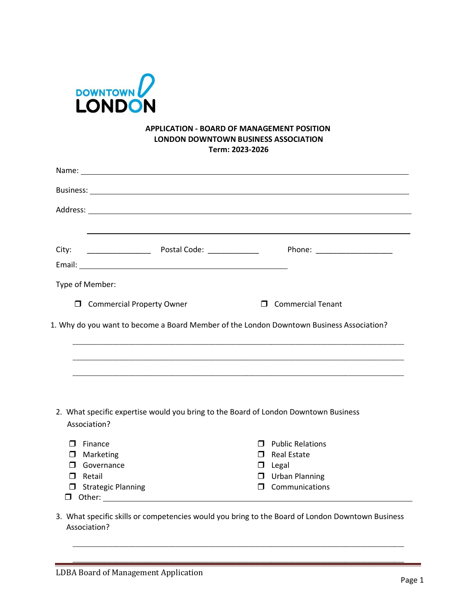

## **APPLICATION - BOARD OF MANAGEMENT POSITION LONDON DOWNTOWN BUSINESS ASSOCIATION Term: 2023-2026**

| City:                                                                             |                                                                                     |                                                                                          |
|-----------------------------------------------------------------------------------|-------------------------------------------------------------------------------------|------------------------------------------------------------------------------------------|
|                                                                                   |                                                                                     |                                                                                          |
| Type of Member:                                                                   |                                                                                     |                                                                                          |
|                                                                                   | <b>I</b> Commercial Property Owner                                                  | <b>D</b> Commercial Tenant                                                               |
|                                                                                   |                                                                                     |                                                                                          |
|                                                                                   |                                                                                     |                                                                                          |
|                                                                                   |                                                                                     | 1. Why do you want to become a Board Member of the London Downtown Business Association? |
|                                                                                   |                                                                                     |                                                                                          |
|                                                                                   |                                                                                     |                                                                                          |
|                                                                                   |                                                                                     |                                                                                          |
|                                                                                   |                                                                                     |                                                                                          |
|                                                                                   |                                                                                     |                                                                                          |
|                                                                                   |                                                                                     |                                                                                          |
|                                                                                   |                                                                                     |                                                                                          |
|                                                                                   |                                                                                     |                                                                                          |
|                                                                                   |                                                                                     |                                                                                          |
|                                                                                   | 2. What specific expertise would you bring to the Board of London Downtown Business |                                                                                          |
|                                                                                   |                                                                                     |                                                                                          |
|                                                                                   |                                                                                     | $\Box$ Public Relations                                                                  |
| Marketing                                                                         |                                                                                     | $\Box$ Real Estate                                                                       |
| Governance                                                                        |                                                                                     | $\Box$ Legal                                                                             |
| Retail                                                                            |                                                                                     | $\Box$ Urban Planning                                                                    |
| Association?<br>$\Box$ Finance<br>□<br>П<br>$\Box$<br><b>J</b> Strategic Planning |                                                                                     | $\Box$ Communications                                                                    |

3. What specific skills or competencies would you bring to the Board of London Downtown Business Association?

\_\_\_\_\_\_\_\_\_\_\_\_\_\_\_\_\_\_\_\_\_\_\_\_\_\_\_\_\_\_\_\_\_\_\_\_\_\_\_\_\_\_\_\_\_\_\_\_\_\_\_\_\_\_\_\_\_\_\_\_\_\_\_\_\_\_\_\_\_\_\_\_\_\_\_\_\_\_\_\_\_\_\_\_\_\_\_\_\_\_\_\_\_\_\_\_\_\_\_\_\_\_\_\_\_\_\_

\_\_\_\_\_\_\_\_\_\_\_\_\_\_\_\_\_\_\_\_\_\_\_\_\_\_\_\_\_\_\_\_\_\_\_\_\_\_\_\_\_\_\_\_\_\_\_\_\_\_\_\_\_\_\_\_\_\_\_\_\_\_\_\_\_\_\_\_\_\_\_\_\_\_\_\_\_\_\_\_\_\_\_\_\_\_\_\_\_\_\_\_\_\_\_\_\_\_\_\_\_\_\_\_\_\_\_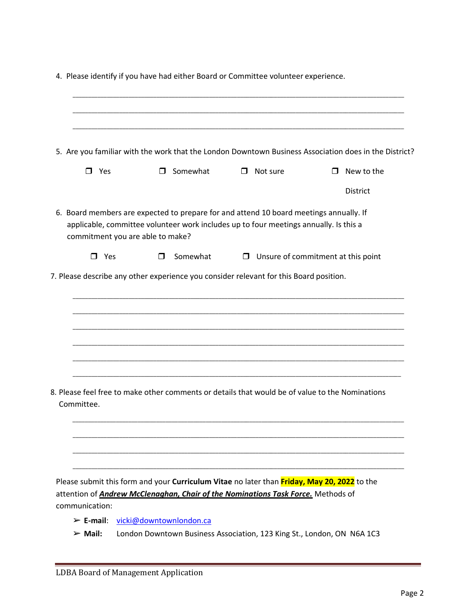|                                                          | 5. Are you familiar with the work that the London Downtown Business Association does in the District?                                                                                                               |                 |                                           |                   |
|----------------------------------------------------------|---------------------------------------------------------------------------------------------------------------------------------------------------------------------------------------------------------------------|-----------------|-------------------------------------------|-------------------|
| Yes<br>0                                                 |                                                                                                                                                                                                                     | $\Box$ Somewhat | $\Box$ Not sure                           | $\Box$ New to the |
|                                                          |                                                                                                                                                                                                                     |                 |                                           | <b>District</b>   |
|                                                          | 6. Board members are expected to prepare for and attend 10 board meetings annually. If<br>applicable, committee volunteer work includes up to four meetings annually. Is this a<br>commitment you are able to make? |                 |                                           |                   |
| $\Box$ Yes                                               | п                                                                                                                                                                                                                   | Somewhat        | $\Box$ Unsure of commitment at this point |                   |
|                                                          |                                                                                                                                                                                                                     |                 |                                           |                   |
|                                                          |                                                                                                                                                                                                                     |                 |                                           |                   |
|                                                          |                                                                                                                                                                                                                     |                 |                                           |                   |
|                                                          | 8. Please feel free to make other comments or details that would be of value to the Nominations                                                                                                                     |                 |                                           |                   |
|                                                          |                                                                                                                                                                                                                     |                 |                                           |                   |
|                                                          | Please submit this form and your Curriculum Vitae no later than Friday, May 20, 2022 to the<br>attention of <b>Andrew McClenaghan, Chair of the Nominations Task Force.</b> Methods of                              |                 |                                           |                   |
| Committee.<br>communication:<br>$\triangleright$ E-mail: | vicki@downtownlondon.ca                                                                                                                                                                                             |                 |                                           |                   |